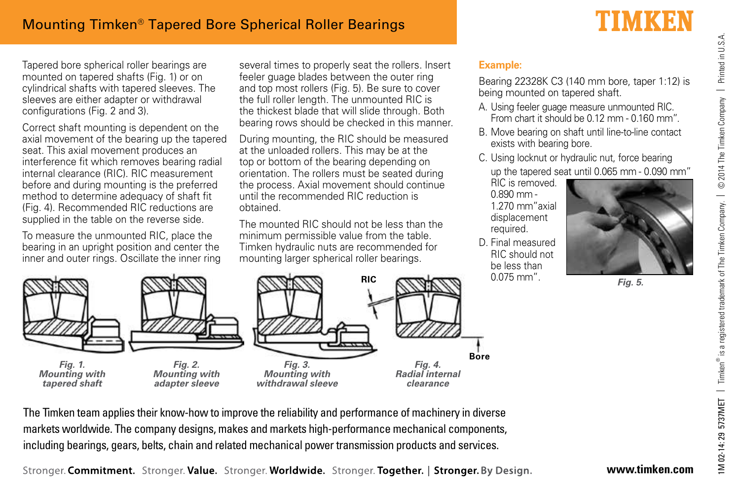Tapered bore spherical roller bearings are mounted on tapered shafts (Fig. 1) or on cylindrical shafts with tapered sleeves. The sleeves are either adapter or withdrawal configurations (Fig. 2 and 3).

Correct shaft mounting is dependent on the axial movement of the bearing up the tapered seat. This axial movement produces an interference fit which removes bearing radial internal clearance (RIC). RIC measurement before and during mounting is the preferred method to determine adequacy of shaft fit (Fig. 4). Recommended RIC reductions are supplied in the table on the reverse side.

To measure the unmounted RIC, place the bearing in an upright position and center the inner and outer rings. Oscillate the inner ring several times to properly seat the rollers. Insert feeler guage blades between the outer ring and top most rollers (Fig. 5). Be sure to cover the full roller length. The unmounted RIC is the thickest blade that will slide through. Both bearing rows should be checked in this manner.

During mounting, the RIC should be measured at the unloaded rollers. This may be at the top or bottom of the bearing depending on orientation. The rollers must be seated during the process. Axial movement should continue until the recommended RIC reduction is obtained.

The mounted RIC should not be less than the minimum permissible value from the table. Timken hydraulic nuts are recommended for mounting larger spherical roller bearings.



Bearing 22328K C3 (140 mm bore, taper 1:12) is being mounted on tapered shaft.

- A. Using feeler guage measure unmounted RIC. From chart it should be 0.12 mm - 0.160 mm".
- B. Move bearing on shaft until line-to-line contact exists with bearing bore.
- C. Using locknut or hydraulic nut, force bearing up the tapered seat until 0.065 mm - 0.090 mm"

RIC is removed. 0.890 mm - 1.270 mm"axial displacement required.

D. Final measured RIC should not be less than 0.075 mm".



**Fig. 5.**



The Timken team applies their know-how to improve the reliability and performance of machinery in diverse markets worldwide. The company designs, makes and markets high-performance mechanical components, including bearings, gears, belts, chain and related mechanical power transmission products and services.

Stronger. Commitment. Stronger. Value. Stronger. Worldwide. Stronger. Together. | Stronger. By Design.

Printed in U.S.A.

## TIMKEN